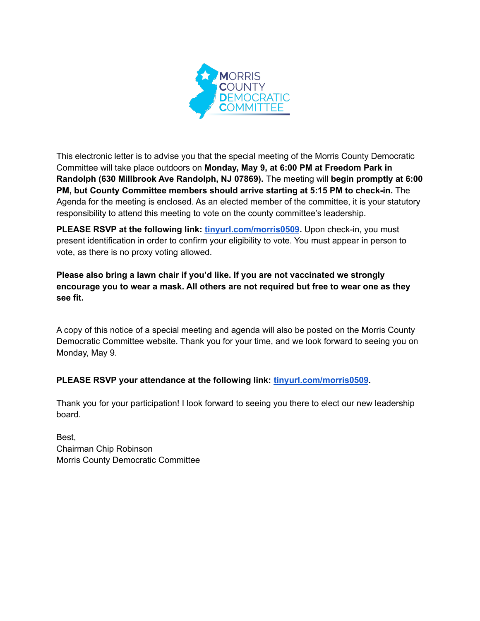

This electronic letter is to advise you that the special meeting of the Morris County Democratic Committee will take place outdoors on **Monday, May 9, at 6:00 PM at Freedom Park in Randolph (630 Millbrook Ave Randolph, NJ 07869).** The meeting will **begin promptly at 6:00 PM, but County Committee members should arrive starting at 5:15 PM to check-in.** The Agenda for the meeting is enclosed. As an elected member of the committee, it is your statutory responsibility to attend this meeting to vote on the county committee's leadership.

**PLEASE RSVP at the following link: [tinyurl.com/morris0509](https://secure.ngpvan.com/cZS4J5WowkSi4xl6gokLrg2).** Upon check-in, you must present identification in order to confirm your eligibility to vote. You must appear in person to vote, as there is no proxy voting allowed.

**Please also bring a lawn chair if you'd like. If you are not vaccinated we strongly encourage you to wear a mask. All others are not required but free to wear one as they see fit.**

A copy of this notice of a special meeting and agenda will also be posted on the Morris County Democratic Committee website. Thank you for your time, and we look forward to seeing you on Monday, May 9.

## **PLEASE RSVP your attendance at the following link: [tinyurl.com/morris0509](https://secure.ngpvan.com/cZS4J5WowkSi4xl6gokLrg2).**

Thank you for your participation! I look forward to seeing you there to elect our new leadership board.

Best, Chairman Chip Robinson Morris County Democratic Committee